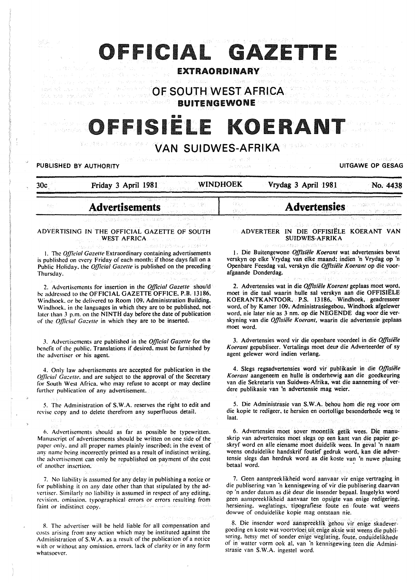| 化非生产剂 经航海费 圣职帽教堂<br>16.Sai<br>OFFICIAL GAZETTE<br>ji Awaysan ing kacamatan Kabupatèn K<br><b>EXTRAORDINARY</b><br>Constitution and Constitution of<br>me annone al dinasti con sabatan naman' pilo<br>年 (2019年) 8月<br><b>OF SOUTH WEST AFRICA</b><br>あいい むく 水南 れい                                                                                                                                                                                              |                                                                                                                                                                                                                                                                                                                                                                                                                                                                                    |                                                                                                                                                                                                                                                                                                                                                                                                                                                                   |                                                                                                                                                                                                                                                                                                                                                                                                                              |                                            |  |  |
|----------------------------------------------------------------------------------------------------------------------------------------------------------------------------------------------------------------------------------------------------------------------------------------------------------------------------------------------------------------------------------------------------------------------------------------------------------------|------------------------------------------------------------------------------------------------------------------------------------------------------------------------------------------------------------------------------------------------------------------------------------------------------------------------------------------------------------------------------------------------------------------------------------------------------------------------------------|-------------------------------------------------------------------------------------------------------------------------------------------------------------------------------------------------------------------------------------------------------------------------------------------------------------------------------------------------------------------------------------------------------------------------------------------------------------------|------------------------------------------------------------------------------------------------------------------------------------------------------------------------------------------------------------------------------------------------------------------------------------------------------------------------------------------------------------------------------------------------------------------------------|--------------------------------------------|--|--|
| but a suitable of the summer and states of the<br><b>BUITENGEWONE</b> Web in Most if against company the second second<br>OFFISIELE KOERANT                                                                                                                                                                                                                                                                                                                    |                                                                                                                                                                                                                                                                                                                                                                                                                                                                                    |                                                                                                                                                                                                                                                                                                                                                                                                                                                                   |                                                                                                                                                                                                                                                                                                                                                                                                                              |                                            |  |  |
|                                                                                                                                                                                                                                                                                                                                                                                                                                                                | 军的复数形式 网络黑格马 骑着汉<br>VAN SUIDWES-AFRIKA                                                                                                                                                                                                                                                                                                                                                                                                                                             |                                                                                                                                                                                                                                                                                                                                                                                                                                                                   | 建设装运厂人员长管 自意的名词                                                                                                                                                                                                                                                                                                                                                                                                              |                                            |  |  |
|                                                                                                                                                                                                                                                                                                                                                                                                                                                                | 经营的 网络爱斯坦亚洲东方亚 计设计线 网络城市 医红斑 人名卡尔<br>PUBLISHED BY AUTHORITY                                                                                                                                                                                                                                                                                                                                                                                                                        | 分析 邪 落<br>JA EPV pasta                                                                                                                                                                                                                                                                                                                                                                                                                                            |                                                                                                                                                                                                                                                                                                                                                                                                                              | 「社会情報」社会、経営課長資本<br><b>UITGAWE OP GESAG</b> |  |  |
| 30c                                                                                                                                                                                                                                                                                                                                                                                                                                                            | Friday 3 April 1981                                                                                                                                                                                                                                                                                                                                                                                                                                                                | <b>WINDHOEK</b>                                                                                                                                                                                                                                                                                                                                                                                                                                                   | Vrydag 3 April 1981                                                                                                                                                                                                                                                                                                                                                                                                          | No. 4438                                   |  |  |
| t gli-                                                                                                                                                                                                                                                                                                                                                                                                                                                         | <b>Advertisements</b>                                                                                                                                                                                                                                                                                                                                                                                                                                                              | $\langle \gamma \rangle_{\rm tot}$<br>(新元)                                                                                                                                                                                                                                                                                                                                                                                                                        | Advertensies <b>Management</b>                                                                                                                                                                                                                                                                                                                                                                                               | skope in someti l                          |  |  |
|                                                                                                                                                                                                                                                                                                                                                                                                                                                                | t anslau cht d<br>กละ รายวางสุขธรัฐธรรม (ชาวะจะได้สถิง) (ท<br>ADVERTISING IN THE OFFICIAL GAZETTE OF SOUTH<br><b>MANUEL AFRICA</b> And Late of ALW J                                                                                                                                                                                                                                                                                                                               | 南京山                                                                                                                                                                                                                                                                                                                                                                                                                                                               | that is confidence of the agency's linearly computed of<br><b>ADVERTEER IN DIE OFFISIËLE KOERANT VAN</b><br><b>SUIDWES-AFRIKA</b>                                                                                                                                                                                                                                                                                            | 11. 杨江、梅云、桃、小、云、 化银银矿                      |  |  |
|                                                                                                                                                                                                                                                                                                                                                                                                                                                                | where we defined increases in $\langle \cdot \rangle$<br>1. The Official Gazette Extraordinary containing advertisements<br>is published on every Friday of each month; if those days fall on a<br>Public Holiday, the Official Gazette is published on the preceding<br>Thursday. The result is a product in equivalent politicians in other                                                                                                                                      |                                                                                                                                                                                                                                                                                                                                                                                                                                                                   | on anna cuna importante es à orix (comme Possible)<br>1. Die Buitengewone Offisiële Koerant wat advertensies bevat<br>verskyn op elke Vrydag van elke maand; indien 'n Vrydag op 'n<br>Openbare Feesdag val, verskyn die Offisiële Koerant op die voor-<br>afgaande Donderdag. The annual transference of the state and man-                                                                                                 |                                            |  |  |
| in successive a change of the collection and a<br>2. Advertisements for insertion in the Official Gazette should<br>be addressed to the OFFICIAL GAZETTE OFFICE, P.B. 13186,<br>Windhock, or be delivered to Room 109, Administration Building,<br>Windhock, in the languages in which they are to be published, not<br>later than 3 p.m. on the NINTH day before the date of publication:<br>of the <i>Official Gazette</i> in which they are to be inserted. |                                                                                                                                                                                                                                                                                                                                                                                                                                                                                    | a bilit vil semigra salikation tegapa sepanjanis upak<br>2. Advertensies wat in die Offisiële Koerant geplaas moet word,<br>moet in die taal waarin hulle sal verskyn aan die OFFISIËLE<br>KOERANTKANTOOR, P.S. 13186, Windhoek, geadresseer<br>word, of by Kamer 109, Administrasiegebou, Windhoek afgelewer<br>word, nie later nie as 3 nm. op die NEGENDE dag voor die ver-<br>skyning van die Offisiële Koerant, waarin die advertensie geplaas<br>moet word. |                                                                                                                                                                                                                                                                                                                                                                                                                              |                                            |  |  |
|                                                                                                                                                                                                                                                                                                                                                                                                                                                                | in in Brand & Contract the Syndian Syndia<br>3. Advertisements are published in the Official Gazette for the<br>benefit of the public. Translations if desired, must be furnished by<br>しょうほ ゆうち<br>the advertiser or his agent.                                                                                                                                                                                                                                                   |                                                                                                                                                                                                                                                                                                                                                                                                                                                                   | 3. Advertensies word vir die openbare voordeel in die Offisiële<br>Koerant gepubliseer. Vertalings moet deur die Adverteerder of sy<br>agent gelewer word indien verlang.<br>an airs imach a go dheath na mun na ach-                                                                                                                                                                                                        |                                            |  |  |
| 4. Only law advertisements are accepted for publication in the<br>Official Gazette, and are subject to the approval of the Secretary<br>for South West Africa, who may refuse to accept or may decline<br>further publication of any advertisement.                                                                                                                                                                                                            |                                                                                                                                                                                                                                                                                                                                                                                                                                                                                    | 4. Slegs regsadvertensies word vir publikasie in die Offisiële<br>Koerant aangeneem en hulle is onderhewig aan die goedkeuring<br>van die Sekretaris van Suidwes-Afrika, wat die aanneming of ver-<br>dere publikasie van 'n advertensie mag weier.                                                                                                                                                                                                               |                                                                                                                                                                                                                                                                                                                                                                                                                              |                                            |  |  |
| un B                                                                                                                                                                                                                                                                                                                                                                                                                                                           | ਾਨਿਤ ਬਾਅਦ ਹੈ।<br>$\mathcal{A}^{\mathcal{A}}$ , where $\mathcal{A}^{\mathcal{A}}$ is the properties<br>5. The Administration of S.W.A. reserves the right to edit and<br>revise copy and to delete therefrom any superfluous detail.                                                                                                                                                                                                                                                | laat.                                                                                                                                                                                                                                                                                                                                                                                                                                                             | 5. Die Administrasie van S.W.A. behou hom die reg voor om<br>die kopie te redigeer, te hersien en oortollige besonderhede weg te<br>the companies of the state of the state of the state of the state of the state of the state of the state of the                                                                                                                                                                          |                                            |  |  |
|                                                                                                                                                                                                                                                                                                                                                                                                                                                                | BOT THE PROPERTY WAS CONTRASTED ON A STATE OF<br>6. Advertisements should as far as possible be typewritten.<br>Manuscript of advertisements should be written on one side of the<br>paper only, and all proper names plainly inscribed; in the event of<br>any name being incorrectly printed as a result of indistinct writing.<br>the advertisement can only be republished on payment of the cost<br>of another insertion; and the preference and the stepsilon of the present | betaal word.                                                                                                                                                                                                                                                                                                                                                                                                                                                      | 6. Advertensies moet sover moontlik getik wees. Die manu-<br>skrip van advertensies moet slegs op een kant van die papier ge-<br>skryf word en alle eiename moet duidelik wees. In geval 'n naam<br>weens onduidelike handskrif foutief gedruk word, kan die adver-<br>tensie slegs dan herdruk word as die koste van 'n nuwe plasing<br>$\Delta\phi$ and $\phi$ is the contribution of the contribution of the contribution |                                            |  |  |
| オケル アンティー                                                                                                                                                                                                                                                                                                                                                                                                                                                      | เข้ามารถที่กำหนัก กล่าว การสูตราสสัตติ การ 1 ตัว สาราการ และเราสาราการ 1<br>7. No liability is assumed for any delay in publishing a notice or<br>for publishing it on any date other than that stipulated by the ad-<br>vertiser. Similarly no liability is assumed in respect of any editing.<br>revision, omission, typographical errors or errors resulting from<br>faint or indistinct copy. The main made also head with the site media                                      | provide to the management appearing an emergency of<br>7. Geen aanspreeklikheid word aanvaar vir enige vertraging in<br>die publisering van 'n kennisgewing of vir die publisering daarvan<br>op 'n ander datum as die deur die insender bepaal. Insgelyks word<br>geen aanspreeklikheid aanvaar ten opsigte van enige redigering,<br>hersiening. weglatings. tipografiese foute en foute wat weens<br>dowwe of onduidelike kopie mag ontstaan nie.               |                                                                                                                                                                                                                                                                                                                                                                                                                              |                                            |  |  |
|                                                                                                                                                                                                                                                                                                                                                                                                                                                                | film the case match<br>8. The advertiser will be held liable for all compensation and<br>costs arising from any action which may be instituted against the<br>Administration of S.W.A. as a result of the publication of a notice<br>with or without any omission, errors, lack of clarity or in any form                                                                                                                                                                          |                                                                                                                                                                                                                                                                                                                                                                                                                                                                   | 8. Die insender word aanspreeklik gehou vir enige skadever-<br>goeding en koste wat voortvloei uit enige aksie wat weens die publi-<br>sering, hetsy met of sonder enige weglating, foute, onduidelikhede<br>of in watter vorm ook al. van 'n kennisgewing teen die Admini-                                                                                                                                                  |                                            |  |  |

strasie van S.W.A. ingestel word.

with or without any omission. errors. lack of clarity or in any form

whatsoever.

.)

 $\rightarrow$ 

 $\frac{1}{2}$ 

 $\frac{1}{2}$ 

 $\frac{1}{2}$ 

 $\frac{1}{2}$ 

ŗ.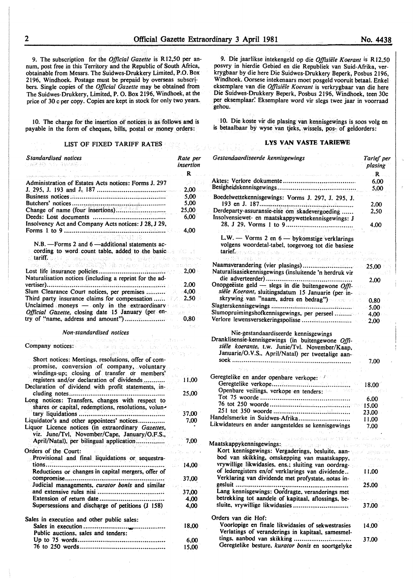9. The subscription for the *Official Gazette* is Rl2,50 per annum, post free in this Territory and the Republic of South Africa, obtainable from Messrs. The Suidwes-Drukkery Limited, P.O. Box 2196, Windhoek. Postage must be prepaid by overseas subscribers. Single copies of the *Official Gazette* may be obtained from The Suidwes-Drukkery, Limited, P. 0. Box 2196, Windhoek, at the price of 30 c per copy. Copies are kept in stock for only two years.

10. The charge for the insertion of notices is as follows and is payable in the form of cheques, bills, postal or money orders:

#### LIST OF FIXED TARIFF RATES

| Standardised notices<br>最終する いちになる はんしょう                                                                                                                                                                                                                                                            | Rate per<br>insertion |
|-----------------------------------------------------------------------------------------------------------------------------------------------------------------------------------------------------------------------------------------------------------------------------------------------------|-----------------------|
| $\label{eq:1} \hat{\rho}_{\rm eff} = \hat{\rho}_{\rm eff} \hat{\rho}_{\rm eff} \hat{\rho}_{\rm eff} + \hat{\rho}_{\rm eff} \hat{\rho}_{\rm eff} \hat{\rho}_{\rm eff} \hat{\rho}_{\rm eff} \hat{\rho}_{\rm eff} \hat{\rho}_{\rm eff} \hat{\rho}_{\rm eff} \hat{\rho}_{\rm eff} \hat{\rho}_{\rm eff}$ | R                     |
| Administration of Estates Acts notices: Forms J. 297                                                                                                                                                                                                                                                |                       |
|                                                                                                                                                                                                                                                                                                     | 2.00                  |
|                                                                                                                                                                                                                                                                                                     | 5.00                  |
|                                                                                                                                                                                                                                                                                                     | 5.00                  |
|                                                                                                                                                                                                                                                                                                     | 25,00                 |
|                                                                                                                                                                                                                                                                                                     | 6.00                  |
| Insolvency Act and Company Acts notices: J 28, J 29,                                                                                                                                                                                                                                                | 4,00                  |
| N.B. - Forms 2 and 6 - additional statements ac-                                                                                                                                                                                                                                                    |                       |
| cording to word count table, added to the basic                                                                                                                                                                                                                                                     |                       |
| ji <b>tariff,</b> bojni zi napan, jerezdî vên nêz gelerîV xwe oz najme                                                                                                                                                                                                                              |                       |
| รัฐมนุธยน - หญ่งกุม อยู่ (เหมองกุม เพล ที่ เมื่อใช้เหมอง เมื่อไม่ใน เพื่อไ                                                                                                                                                                                                                          |                       |
|                                                                                                                                                                                                                                                                                                     | $-2,00$               |
| Naturalisation notices (including a reprint for the ad-                                                                                                                                                                                                                                             |                       |
|                                                                                                                                                                                                                                                                                                     |                       |
| Slum Clearance Court notices, per premises  4,00                                                                                                                                                                                                                                                    |                       |
| Third party insurance claims for compensation  2.50<br>Unclaimed moneys $\longrightarrow$ only in the extraordinary and the set                                                                                                                                                                     |                       |
| Official Gazette, closing date 15 January (per en-                                                                                                                                                                                                                                                  |                       |
|                                                                                                                                                                                                                                                                                                     |                       |
|                                                                                                                                                                                                                                                                                                     |                       |
| Non-standardised notices                                                                                                                                                                                                                                                                            |                       |
| ereco printing the social confidence<br>Company notices: We shall also be again that when the page of the<br>andhe adhartsow contractory                                                                                                                                                            |                       |
| Short notices: Meetings, resolutions, offer of com-<br>promise, conversion of company, voluntary<br>windings-up; closing of transfer or members'<br>registers and/or declaration of dividends                                                                                                       | 11,00                 |
| Declaration of dividend with profit statements, in-                                                                                                                                                                                                                                                 |                       |
|                                                                                                                                                                                                                                                                                                     | 25,00                 |
| Long notices: Transfers, changes with respect to<br>shares or capital, redemptions, resolutions, volun-                                                                                                                                                                                             |                       |
| tary liquidations<br>.                                                                                                                                                                                                                                                                              | 37,00                 |
| Liquidator's and other appointees' notices                                                                                                                                                                                                                                                          | 7.00                  |
| Liquor Licence notices (in extraordinary Gazettes,                                                                                                                                                                                                                                                  |                       |
| viz. June/Tvl, November/Cape, January/O.F.S.,                                                                                                                                                                                                                                                       |                       |
| April/Natal), per bilingual application                                                                                                                                                                                                                                                             | 7.00                  |
| Orders of the Court:                                                                                                                                                                                                                                                                                |                       |
| Provisional and final liquidations or sequestra-                                                                                                                                                                                                                                                    |                       |
|                                                                                                                                                                                                                                                                                                     | 14,00                 |
| Reductions or changes in capital mergers, offer of                                                                                                                                                                                                                                                  |                       |
|                                                                                                                                                                                                                                                                                                     | - 37,00               |
| Judicial managements, curator bonis and similar                                                                                                                                                                                                                                                     | 1923 (192             |
|                                                                                                                                                                                                                                                                                                     | 37,00<br>$-4,00$      |
| Supersessions and discharge of petitions (J 158)                                                                                                                                                                                                                                                    | 4,00                  |
|                                                                                                                                                                                                                                                                                                     |                       |
| Sales in execution and other public sales:                                                                                                                                                                                                                                                          |                       |
| Public auctions, sales and tenders:                                                                                                                                                                                                                                                                 | 18,00                 |
|                                                                                                                                                                                                                                                                                                     | 6,00                  |
|                                                                                                                                                                                                                                                                                                     | 15,00                 |

9. Die jaarlikse intekengeld op die *Offisiële Koerant* is R12,50 posvry in hierdie Gebied en die Republiek van Suid-Afrika, verkrygbaar by die here Die Suidwes-Drukkery Beperk, Posbus 2196, Windhoek. Oorsese intekenaars moet posgeld vooruit betaal. Enkel eksemplare van die Offisiële Koerant is verkrygbaar van die here Die Suidwes-Drukkery Beperk, Posbus 2196, Windhoek, teen 30c per eksemplaar: Eksemplare word vir slegs twee jaar in voorraad gehou.

10. Die koste vir die plasing van kennisgewings is soos volg en is betaalbaar by wyse van tjeks, wissels, pos- of geidorders:

# LYS VAN VASTE TARIEWE

| Gestandaardiseerde kennisgewings<br>$\sim 1.5$ , $\sim 1$                                                                                                                                                                    | Tarief per<br>plasing                                                                                                                                                   |
|------------------------------------------------------------------------------------------------------------------------------------------------------------------------------------------------------------------------------|-------------------------------------------------------------------------------------------------------------------------------------------------------------------------|
|                                                                                                                                                                                                                              | $\mathbb{R}$                                                                                                                                                            |
|                                                                                                                                                                                                                              | 6,00<br>5,00                                                                                                                                                            |
| Boedelwettekennisgewings: Vorms J. 297, J. 295, J.                                                                                                                                                                           | 2.00                                                                                                                                                                    |
| Derdeparty-assuransie-eise om skadevergoeding<br>Insolvensiewet- en maatskappywettekennisgewings: J                                                                                                                          | 2.50                                                                                                                                                                    |
| $\gamma$ and $\gamma$<br>an Airi ka Tur<br>i.                                                                                                                                                                                | 4.00                                                                                                                                                                    |
| L.W. - Vorms 2 en $6$ - bykomstige verklarings<br>volgens woordetal-tabel, toegevoeg tot die basiese<br>tarief. And you grant when the condition of<br>PACING)<br>so this vehicle is really due a visible recovery induction |                                                                                                                                                                         |
|                                                                                                                                                                                                                              | 25.00                                                                                                                                                                   |
| Naturalisasiekennisgewings (insluitende 'n herdruk vir                                                                                                                                                                       |                                                                                                                                                                         |
| Onopgeëiste geld — slegs in die buitengewone $Offi$ -                                                                                                                                                                        | 2.00                                                                                                                                                                    |
| siële Koerant, sluitingsdatum 15 Januarie (per in-                                                                                                                                                                           | ini h                                                                                                                                                                   |
| skrywing van "naam, adres en bedrag")                                                                                                                                                                                        | 0.80                                                                                                                                                                    |
| Slagterskennisgewings manufational continuum                                                                                                                                                                                 | 5,00                                                                                                                                                                    |
| Slumopruimingshofkennisgewings, per perseel                                                                                                                                                                                  | 4,00                                                                                                                                                                    |
| Verlore lewensversekeringspolisse                                                                                                                                                                                            | 2,00                                                                                                                                                                    |
| Nie-gestandaardiseerde kennisgewings<br>Dranklisensie-kennisgewings (in buitengewone Offi-<br>siële koerante, t.w. Junie/Tvl. November/Kaap,                                                                                 |                                                                                                                                                                         |
| Januarie/O.V.S., April/Natal) per tweetalige aan-                                                                                                                                                                            |                                                                                                                                                                         |
|                                                                                                                                                                                                                              | 7.00                                                                                                                                                                    |
| dia standa di manda dan melalui me                                                                                                                                                                                           |                                                                                                                                                                         |
| Geregtelike en ander openbare verkope:                                                                                                                                                                                       |                                                                                                                                                                         |
|                                                                                                                                                                                                                              | 18.00                                                                                                                                                                   |
| Openbare veilings, verkope en tenders:                                                                                                                                                                                       |                                                                                                                                                                         |
|                                                                                                                                                                                                                              | 6.00                                                                                                                                                                    |
|                                                                                                                                                                                                                              | 15,00                                                                                                                                                                   |
|                                                                                                                                                                                                                              | 23,00                                                                                                                                                                   |
| Handelsmerke in Suidwes-Afrika                                                                                                                                                                                               | 11,00                                                                                                                                                                   |
| Likwidateurs en ander aangesteldes se kennisgewings                                                                                                                                                                          | 7.00                                                                                                                                                                    |
| We Windows Twistings Caller & DM                                                                                                                                                                                             |                                                                                                                                                                         |
| Maatskappykennisgewings: Starter of the Carter and Matter Starter                                                                                                                                                            |                                                                                                                                                                         |
| Kort kennisgewings: Vergaderings, besluite, aan- and an annual                                                                                                                                                               |                                                                                                                                                                         |
| bod van skikking, omskepping van maatskappy, and staatsman                                                                                                                                                                   |                                                                                                                                                                         |
| vrywillige likwidasies, ens.; sluiting van oordrag-<br>of lederegisters en/of verklarings van dividende                                                                                                                      | $\left\langle \begin{smallmatrix} 1 & 1 \\ 1 & 1 \end{smallmatrix} \right\rangle$ and $\left\langle \begin{smallmatrix} 1 & 1 \\ 1 & 1 \end{smallmatrix} \right\rangle$ |
| Verklaring van dividende met profystate, notas in-                                                                                                                                                                           | 11.00                                                                                                                                                                   |
|                                                                                                                                                                                                                              | 25.00                                                                                                                                                                   |
| Lang kennisgewings: Oordragte, veranderings met                                                                                                                                                                              |                                                                                                                                                                         |
| betrekking tot aandele of kapitaal, aflossings, be-                                                                                                                                                                          |                                                                                                                                                                         |
| sluite, vrywillige likwidasies                                                                                                                                                                                               | 37,00                                                                                                                                                                   |
| Orders van die Hof:                                                                                                                                                                                                          |                                                                                                                                                                         |
| Voorlopige en finale likwidasies of sekwestrasies                                                                                                                                                                            | 14.00                                                                                                                                                                   |
| Verlatings of veranderings in kapitaal, samesmel-                                                                                                                                                                            |                                                                                                                                                                         |
| Geregtelike besture. kurator bonis en soortgelyke                                                                                                                                                                            | 37,00                                                                                                                                                                   |

 $\frac{1}{2}$  ,  $\frac{1}{2}$  ,  $\frac{1}{2}$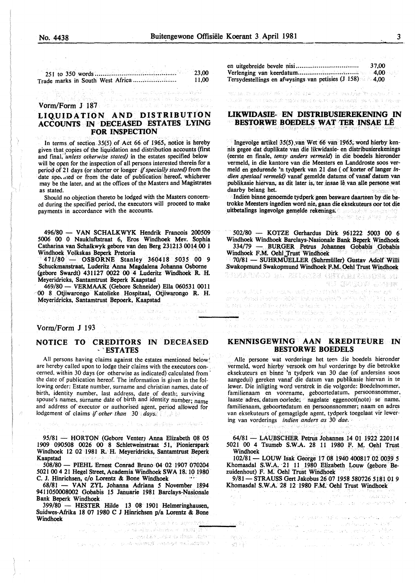251 to 350 words ......................... ~ ..... -........... . 23,00 Trade marks in South West Africa ...................... . 11,00

أأفأتها الأقارب المتقر فيرتابها والمراكين والمتقادر

Vorm/Form J 1873 in the sea of the sea the sea of the sea

# LIQUIDATION AND DISTRIBUTION ACCOUNTS IN DECEASED ESTATES LYING FOR INSPECTION

In terms of section 35(5) of Act 66 of 1965, notice is hereby given that copies of the liquidation and distribution accounts (first and final, *unless otherwise stated*) in the estates specified below will be open for the inspection of all persons interested therein for a period of 21 days (or shorter or longer if *specially stated)* from the date specified or from the date of publication hereof, whichever may be the later, and at the offices of the Masters and Magistrates as stated.

Should no objection thereto be lodged with the Masters concerned during the specified period, the executors will proceed to make payments in accordance with the accounts.

496/80 - VAN SCHALKWYK Hendrik Francois 200509 5006 00 0 Naukluftstraat 6, Eros Windhoek Mev. Sophia Catharina van SchaJkwyk gebore van den Berg 231213 0014 00 1 Windhoek Volkskas Beperk Pretoria

471/80 - OSBORNE Stanley 360418 5035 00 *9*  Schuckmanstraat, Luderitz Anna Magdalena Johanna Osborne (gebore Swardt) 431127 0022 00 4 Luderitz Windhoek R. H. Meyeridricks, Santamtrust Beperk Kaapstad

469/80- VERMAAK (Gebore Schneider) Ella 060531 0011 00 8 Otjiwarongo Katolieke Hospitaal, Otjiwarongo R. H. Meyeridricks, Santamtrust Bepoerk, Kaapstad

 $\label{eq:2.1} \mathcal{L} \left( \mathcal{L} \right) \left( \mathcal{L} \right) = \mathcal{L} \left( \mathcal{L} \right) \mathcal{L} \left( \mathcal{L} \right) \mathcal{L} \left( \mathcal{L} \right)$ 

and of the most state control.

上級設定

 $\mathcal{G}^{(3)}_{\mathcal{M}}(\mathbf{X},\mathbf{X})=\mathcal{G}^{(3)}_{\mathcal{M}}(\mathbf{X})_{\mathcal{M}}$ 

# Vorm/Form J 193

网络花类

# NOTICE TO CREDITORS IN DECEASED

 $\Omega_{\rm M}^{\rm L} = \Omega_{\rm M}^{\rm L} - \Omega_{\rm M}^{\rm L} = \Omega_{\rm M}^{\rm L} + \Omega_{\rm M}^{\rm L} + \Omega_{\rm M}^{\rm L}$ 

All persons having claims against the estates mentioned below. are hereby called upon to lodge their claims with the executors concerned, within 30 days (or otherwise as indicated) calculated from· the date of publication hereof. The information is given in the following order: Estate number, surname and christian names, date of birth, identity number, last address, date of death; surviving spouse's names, surname date of birth and identity number; name and address of executor or authorised agent, period allowed for lodgement of claims if *other than* 30 *days.* 

95/81 - HORTON (Gebore Venter) Anna Elizabeth 08 05 1909 090508 0026 00 8 Schletweinstraat 51, Pionierspark Windhoek 12 02 1981 R. H. Meyeridricks, Santamtrust Beperk Kaapstad

508/80 - PIEHL Ernest Conrad Bruno 04 02 1907 070204 5021 00 4 21 Hegel Street, Academia Windhoek SWA 18; 10 1980 C. J. Hinrichsen, c/o Lorentz & Bone Windhoek "

68/81 - VAN ZYL Johanna Adriana 5 November 1894 9411050008002 Gobabis 15 Januarie 1981 Barclays-Nasionale Bank Beperk Windhoek

399/80 - HESTER Hilde 13 08 1901 Helmeringhausen, Suidwes-Afrika 18 07 1980 C J Hinrichsen p/a Lorentz & Bone Windhoek

o template ne provincial provincial contrato

në dist en uitgebreide bevele ~isi ................................ . 37,00 Verlenging van keerdatum ............................... . 4,00 Tersydestellings en afwysings van petisies  $(J.158)$  4,00

of the area of the top to a result of the angular strainer of the about the cioni voce como de ngloran le ove platani, pre la 1 vaca

# LIKWIDASIE- EN DISTRIBUSIEREKENING IN BESTORWE BOEDELS WAT TER INSAE LÊ

Ingevolge artikel 35(5) van Wet 66 van 1965, word hierby kennis gegee dat duplikate van die likwidasie- en distribusierekenings (eerste en fmale, *tensy anders vermeld)* in die boedels hieronder vermeld, in die kantore van die Meesters en Landdroste soos vermeld en gedurende 'n tydperk van 21 dae (of korter of Ianger *indien spesiaal vermeld)* vanaf gemelde datums of vanaf datum van publikasie hiervan, as dit later is, ter insae lê van alle persone wat daarby belang bet.

Indien binne genoemde tydperk geen besware daarteen by die betrokke Meesters ingedien word nie, gaan die eksekuteurs oor tot die uitbetalings ingevolge gem~lde rekenings: ·

502/80 - KOTZE Gerhardus Dirk 961222 5003 00 6 Windhoek Windhoek Barclays-Nasionale Bank Beperk Windhoek 334/79 - BURGER Petrus Johannes Gobabis Gobabis

Windhoek F.M. Ochl Trust Windhoek<br>70/81 — SUHRMÜELLER (Suhrmüller) Gustav Adolf Willi Swakopmund Swakopmund Windhoek P.M. Oehl Trust Windhoek in essanta ayya kata ini Gotana an Corta

an ta 1970 a 1971 a 1972 a 1972 a 1972 a 1972 a 1972 a 1972.<br>An taisimhead a' achath 1982 a thuair a tuaight b'Osef Pas (b) (1973 a 1981. وأولد أبجل وألياء ويقصين والأنا فالتبيين والأنا فجهده بالاقتراء والدراعات The part of counselor and the modeling of the second composition of alista anno essere tentant alemania del grande al mal A an

# KENNISGEWING AAN KREDITEURE IN BESTORWE BOEDELS

Alle persone wat vorderinge het teen die boedels hieronder vermeld, word hierby versoek om hul vorderinge by die betrokke eksekuteurs en binne 'n tydperk van 30 dae (of andersins soos aangedui) gereken vanaf die datum van publikasie hiervan in te !ewer. Die inligting word verstrek in die volgorde: Boedelnommer, familienaam en voorname, geboortedatum, persoonsnommer, laaste adres, datum oorlede; nagelate eggenoot(note) se name, familienaam, geboortedatum en persoonsnommer; naam en adres van eksekuteurs of gemagtigde agent, tydperk toegelaat vir lewering van vorderings *indien anders as* 30 *dae.* 

64/81 - LAUBSCHER Petrus Johannes 14 01 1922 220114 5021 00 4 Tsumeb S.W.A. 28 11 1980 F. M. Oehl Trust

102/81 - LOUW Isak George 17 08 1940 400817 02 0039 5 Khomasdal S.W.A. 21 11 1980 Elizabeth Louw (gebore Bezuidenhout) F. M. Oehl Trust Windhoek

9/81- STRAUSS Gert Jakobus 26 07 1958 580726 5181 01 *9*  Khomasdal S.W.A. 28 12 1980 F.M:. Oehl Trust Windhoek

.<br>การสอง จ. กลุ่มกระทุ สิ่ง พ.ศ. โอเมา เพาะอาหาราชาชาชา

المتحقق والمتالية

 $\{ \varphi \in \mathcal{P} \mid \forall \varphi \in \mathcal{P}, \mathcal{O} \neq \emptyset \mid \forall \varphi \in \mathcal{P}, \mathcal{V}_\alpha \in \mathcal{V}_\alpha, \mathcal{V}_\beta \in \mathcal{V}_\alpha, \mathcal{V}_\beta \in \mathcal{V}_\beta \in \mathcal{V}_\beta \}$ 

75637.325

 $\sim$  and  $\sim$  and  $\sim$  in the state state  $\sim$ ים במקום המשפט המילי המוצאות המוליאות למשפט את המוליאות המוליאות המוליאות.<br>1967 – במקום המוליאות המוליאות המוליאות המוליאות המוליאות המוליאות המוליאות המוליאות המוליאות המוליאות המוליאו<br>1968 – מאפשים לא המוליאות מוליאות i u Randalık sama doğumu

Adolf

÷).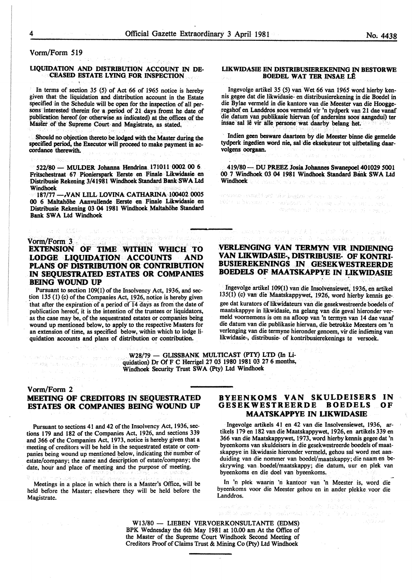# Vorm/Form 519

#### LIQUIDATION AND DISTRIBUTION ACCOUNT IN DE-CEASED ESTATE LYING. FOR INSPECTION

In terms of section 35 (5) of Act 66 of 1965 notice is hereby given that the liquidation and distribution account in the Estate specified in the Schedule will be open for the inspection of all persons interested therein for a period of 21 days fromt he date of publication hereof (or otherwise as indicated) at the offices of the Master of the Supreme Court and Magistrate, as stated.

Should no objection thereto be lodged with the Master during the specified period, the Executor will proceed to make payment in ac-<br>cordance therewith.

522/80 - MULDER Johanna Hendrina 171011 0002 00 6 Fritschestraat 67 Pionierspark Eerste en Finale Likwidasie en Distribusie Rekening 3/41981 Windhoek Standard Bank SWA Ltd Windhoek<br>187/77 –

-VAN LILL LOVINA CATHARINA 100402 0005 00 6 MaltahObe Aanvullende Berste en Finale Likwidasie en Distribusie Rekening 03 04 1981 Windhoek Maltahöhe Standard Bank SWA Ltd Windhoek

DARL PORTA (PC) AG (D2)

# $Vorm/Form 3$  . The second second second second second second second second second second second second second second second second second second second second second second second second second second second second second sec

# EXTENSION OF TIME WITHIN WIUCH TO LODGE LIQUIDATION ACCOUNTS AND PLANS OF DISTRIBUTION OR CONTRIBUTION IN SEQUESTRATED ESTATES OR COMPANIES BEING WOUND UP

Pursuant to section 109(1) of the Insolvency Act, 1936, and section 135 (1) (c) of the Companies Act, 1926, notice is hereby given that after the expiration of a period of  $\overline{14}$  days as from the date of publication hereof, it is the intention of the trustees or liquidators, as the case may be, of the sequestrated estates or companies being wound up mentioned below, to apply to the respective Masters for an extension of time, as specified below, within which to lodge liquidation accounts and plans of distribution or contribution.

#### LIKWIDASIE EN DISTRIBUSIEREKENING IN BESTORWE BOEDEL WAT TER INSAE L£

Ingevolge artikel 35 (5) van Wet 66 van 1965 word hierby kennis gegee dat die likwidasie- en distribusierekening in die Boedel in die Bylae vermeld in die kantore van die Meester van die Hooggeregshof en Landdros soos vermeld vir 'n tydperk van 21 dae vanaf die datum yan publikasie hiervan (of andersins 300s aangedui) ter insae sal le vir aile. persone wat daarby belang bet.

Indien geen besware daarteen by die Meester binne die gemelde tydperk ingedien word nie, sal die eksekuteur tot uitbetaling daarvolgens oorgaan.

419/80 - DU PREEZ Josia Johannes Swanepoel 401029 5001 00 7 Windhoek 03 04 1981 Windhoek Standard Bank SWA Ltd Windhoek is all reported as a predictive policy of the pre-

arsones cusations and beginned as an one over our epic in increas a second distribution group provider de la computación de la computación de la computación de la co<br>Antiga de la seconda de la computación de la computación de la computación de la computación de la computación<br> strucieus sits Ave an interview of coality

# VERLENGING VAN TERMYN VIR INDIENING VAN LIKWIDASIE-, DISTRIBUSIE- OF KONTRI-BUSIEREKENINGS .IN GESEKWESTREERDE BOEDELS OF MAATSKAPPYE IN LIKWIDASIE

.<br>The Second California (1979) (1985)<br>The Search California (1986) (1986)

Ingevolge artikel 109(1) van die Insolvensiewet, 1936, en artikel 135(1) (c) van die Maatskappywet, 1926, word hierby kennis ge-. gee dat kurators of likwidateurs van die gesekwestreerde boedels of maatskappye in Iikwidasie, na gelang van die geval hieronder vermeld voomemens is om na afloop van 'n termyn van 14 dae vanaf die datum van die publikasie hiervan, die betrokke Meesters om 'n verlenging van die termyne hieronder genoem, vir die indiening van likwidasie-, distribusie- of kontribusierekenings te versoek.

 $W28/79$  - GLISSBANK MULTICAST (PTY) LTD (In Li- $W28/79$  — GLISSBANK MULTICAST (FIT) LID (in Li-<br>quidation) Dr Of F C Herrigel 27 03 1980 1981 03 27 6 months, Windhoek Security Trust SWA (Pty) Ltd Windhoek

# Vorm/Form 2 MEETING OF CREDITORS IN SEQUESTRATED ESTATES OR COMPANIES BEING WOUND UP

n an 1950 an 1960.<br>Thank the Carlotte and the Carlotte

Pursuant to sections 41 and 42 of the Insolvency Act, 1936, sections 179 and 182 of the Companies Act, 1926, and sections 339 and 366 of the Companies Act, 1973, notice is hereby given that a meeting of creditors will be held in the sequestrated estate or companies being wound up mentioned below, indicating the nurnber of estate/company; the name and description of estate/company; the date, hour and place of meeting and the purpose of meeting.

Meetings in a place in which there is a Master's Office, will be held before the Master; elsewhere they will be held before the Magistrate.

# BYEENKOMS VAN SKULDEISERS IN GESEKWESTREERDE BOEDELS OF MAATSKAPPYE IN LIKWIDASIE

Ingevolge artikels 41 en 42 van die Insolvensiewet, 1936, artikels 179 en 182 van die Maatskappywet, 1926, en artikels 339 en 366 van die Maatskappywet, 1973, word hierbykennisgegeedat 'n byeenkoms van skuldeisers in die gesekwestreerde boedels of maatskappye in likwidasie hieronder vermeld, gehou sal word met aanduiding van die nommer van boedel/maatskappy; die naam en beskrywing van boedel/maatskappy; die datum, uur en plek van byeenkoms en die doel van byeenkoms.

In 'n plek waarin 'n kantoor van 'n Meester is, word die byeenkoms voor die Meester gehou en in ander plekke voor die Landdros.

W13/80 - LIEBEN VERVOERKONSULTANTE (EDMS) BPK Wednesday the 6th May 1981 at 10.00 am At the Office of the Master of the Supreme Court Windhoek Second Meeting of Creditors Proof of Claims Trust & Mining Co (Pty) Ltd Windhoek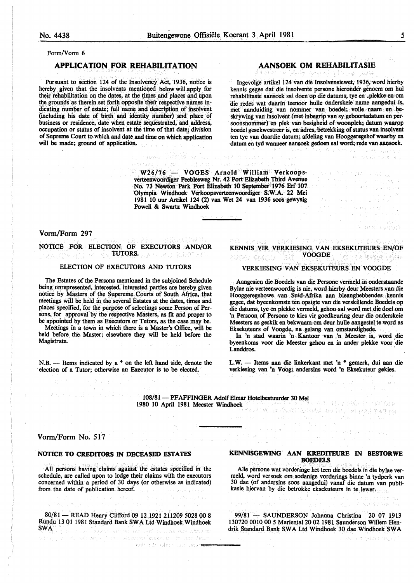Form/Vorm 6

# APPLICATION FOR REHABILITATION

Pursuant to section 124 of the Insolvency Act, 1936, notice is hereby given that the insolvents mentioned below will apply for their rehabilitation on the dates, at the times and places and upon the grounds as therein set forth opposite their respective names indicating number of estate; full name and description of insolvent (including his date of birth and identity number) and place of business or residence, date when estate sequestrated, and address, occupation or status of insolvent at the time of that date; division of Supreme Court to which and date and time on which application will be made; ground of application.

i kalendari k

# AANSOEK OM REHABILITASIE

Ingevolge artikel 124 van die Insolvensiewet; 1936, word hierby kennis gegee dat die insolvente persone hieronder genoem om hul rehabilitasie aansoek sal doen op die datums, tye en .plekke en om die redes wat daarin teenoor bulle onderskeie name aangedui is, met aanduiding van nommer van boedel; volle naam en beskrywing van insolvent (met inbegrip van sy geboortedatum en persoonsnommer) en plek van besigheid of woonplek; datum waarop boedel gesekwestreer is, en adres, betrekking of status van insolvent ten tye van daardie datum; afdeling van Hooggeregshof waarby en datum en tyd wanneer aansoek gedoen sal word; rede van aansoek.

Subscripti

i ner W26/76 . VOGES Arnold William Verkoopsverteenwoordiger Peeblesweg Nr. 42 Port Elizabeth Third Avenue No. 73 Newton Park Port Elizabeth 10 September' 1976 Erf 107 Olympia Windhoek Verkoopsverteenwoordiger S.W.A. 22 Mei 1981 10 uur Artikel 124 (2) van Wet 24 van 1936 so0s geW'ysig Powell & Swartz Windhoek

### Vorm/Form 297

NOTICE FOR ELECTION OF EXECUTORS AND/OR

#### ELECTION OF EXECUTORS AND TUTORS

The Estates of the Persons mentioned in the subjoined Schedule being unrepresented, interested, interested parties are hereby given notice by Masters of the Supereme. Courts of South Africa, that meetings will be held in the several Estates at the dates, times and places specified, for the purpose of selectings some Person of Persons, for approval by the respective Masters, as fit and proper to be appointed by them as Executors or Tutors, as the case may be.

Meetings in a town in which there is a Master's Office, will be held before the Master; elsewhere they will be held before the Magistrate.

 $N.B.$  - Items indicated by a  $*$  on the left hand side, denote the ·election of a Tutor; otherwise an Executor is to be elected.

KENNIS VIR VERKIESING VAN EKSEKUTEURS EN/OF VOOGDE

### VERKIESING VAN EKSEKUTEURS EN VOOGDE

Aangesien die Boedels van die Persone vermeld in onderstaande Bylae nie verteenwoordig is nie, word hierby deur Meesters van-die Hooggeregshowe van Suid-Afrika aan bleanghebbendes .kennis gegee, dat byeenkomste ten opsigte van die verskillende Boedels op die datums, tye en plekke vermeld, gehou sal word met die doel om 'n Persoon of Persone te kies vir goedkeuring deur die onderskeie Meesters as geskik en bekwaam om deur hulle aangestel te word as Eksekuteurs of Voogde, na gelang van omstandighede.

In 'n stad waarin 'n Kantoor van 'n Meester is, word die byeenkoms voor die Meester gehou en in ander plekke voor die Landdros.

L.W. -- Items aan die linkerkant met 'n \* gemerk, dui aan die verkiesing van 'n Voog; andersins word 'n Eksekuteur gekies.

网络非国家 网络多尔马特 脱去

on wit ssbhe ones

108/81- PFAFFINGER AdolfElmar Hotelbestuurder 30 Mei 1980 10 April 1981 Meester Windhoek . .

# Vorm/Fonn No. 517

#### NOTICE TO CREDITORS IN DECEASED ESTATES

·All. persons having claims against the estates specified in the schedule, are called upon to lodge their claims with the executors concerned within a period of 30 days (or otherwise as indicated) from the date of publication hereof.

80/81 - READ Henry Clifford 09 12 1921 211209 5028 00 8 Rundu 13 01 1981 Standard Bank SWA Ltd Windhoek Windhoek Swamp of the windows of the street

redatora di estrag<sup>u</sup>o della seguia tantana di amodama

bow and color construction

KENNISGEWING AAN KREDITEURE IN BESTORWE BOEDELS

Talk of Community

 $\sim$   $\sim$ 

Aile persone wat vorderinge bet teen die boedels in die bylae vermeld, word versoek om sodanige vorderings binne 'n tydperk van 30 dae (of andersins soos aangedui) vanaf die datum van publikasie hiervan by die betrokke eksekuteurs in te lewer.

99/81 - SAUNDERSON Johanna Christina 20 07 1913 130720 0010 00 *5* Mariental20 02 1981 Saunderson Willem Hendrik Standard Bank SW A Ltd Windhoek 30 dae Windhoek SW A

า<br>จักราชที่ มีมากันที่สารางป

ネット あうび セタカー いちがいい  $\left\langle \mathcal{F}^{\mathcal{L}}(\mathcal{O}_{\mathcal{L}}(\mathbb{R}^n)) \right\rangle_{\mathcal{L}} \leq \left\langle \mathcal{F}^{\mathcal{L}}(\mathbb{R}^n)) \right\rangle_{\mathcal{L}} \leq \left\langle \mathcal{F}^{\mathcal{L}}(\mathbb{R}^n)) \right\rangle_{\mathcal{L}} \leq \left\langle \mathcal{F}^{\mathcal{L}}(\mathbb{R}^n)) \right\rangle_{\mathcal{L}}$ 

 $\mathcal{L}_{\mathbf{x}} = \mathcal{L}_{\mathbf{x}} \times \mathcal{L}_{\mathbf{x}}$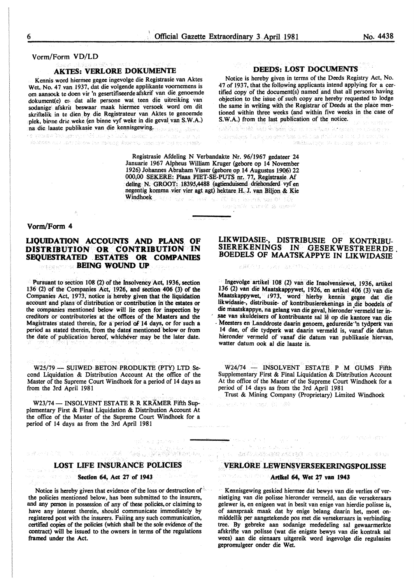Vorm/Form VD/LD

### AKTES: VERLORE DOKUMENTE

Kennis word hiermee gegee ingevolge die Registrasie van Aktes Wet,. No. 47 van 1937, dat die volgende applikante voornemens is om aansoek te doen vir 'n gesertifiseerde afskrif van die genoemde dokument(e) er• dat aile persone wat teen die uitreiking van sodanige· afskrit beswaar maak hierrnee versoek word om dit skriftelik in te dien. by die Registrateur van Aktes te genoemde plek, binne drie weke (en binne vyf weke in die geval van S.W.A.) na die laaste publikasie van die kennisgewing.

soffer and late from he monog kace the case are but to ortisal

# DEEDS: LOST DOCUMENTS

Notice is hereby given in terms of the Deeds Registry Act, No. 47 of 1937, that the following applicants intend applying for a certified copy of the document(s) named and that all persons having objection to the issue of such copy are hereby requested to lodge the same in writing with the Registrar of Deeds at the place mentioned within three weeks (and within five weeks in the case of

 $S.W.A.)$  from the last publication of the notice.<br>Substitution is a second sequence of the notice. Southeastcra to be 2019 (Sharp Wolfe

Registrasie Afdeling N Verbandakte Nr. 96/1967 gedateer 24 Januarie 1967 Alpheus William Kruger (gebore op 14 November 1926) Johannes Abraham Visser (gebore op 14 Augustus 1906) 22 000,00 SEKERE:. Plaas PIET-SE-PUTS nr. 77., Registrasie Af deling N. GROOT: 18395,4488 (agtienduisend driehonderd vyf en negentig komma vier vier agt agt) hektareH. J. van Biljon & Kie Windhoek and they adjust the W at loves one Of the

#### Vonn/Form 4

# UQVIDATION ACCOUNTS AND PLANS. OF DISTRIBUTION OR CONTRIBUTION IN SEQUESTRATED . ESTATES OR COMPANIES BEING WOUND UP OF A BEING WOUND UP

Pursuant to section 108 (2) of the Insolvency: Act, 1936, section 136 (2) of the Companies Act, 1926, and section 406 (3) of the Companies Act, 1973, notice is hereby given that the liquidation account and plans of distribution or contribution in the estates or the companies mentioned below will lie open for inspection by creditors or contributories at the offices of the Masters and the Magistrates stated therein, for a period of 14 days, or for such a period as stated therein, from the dates mentioned'below or from the date of publication hereof, whichever may be the later date.

W25/79 - SUIWED BETON PRODUKTE (PTY) LTD Second Liquidation & Distribution Account At the office of the Master of the Supreme Court Windhoek for a period of 14 days as from the 3rd April 1981

W23/74 - INSOLVENT ESTATE R R KRÄMER Fifth Supplementary First & Final Liquidation & Distribution Account At the office of the Master of the Supreme Court Windhoek for a period of 14 days as from the 3rd April 1981

# LOST LIFE INSURANCE POLICIES

Sur Stunier

국립, 동일관광

#### Section 64, Aet 27 of 1943

みやえ 個人 西川 いみんしい 出業者

Notice is hereby given that evidence of the loss or destruction of  $\cdot$ the policies mentioned below, has been submitted to the insurers, and any person in possession of any of these policies, or claiming to have any interest therein, should communicate immediately by registered post with the insurers. Faiiing any such communication, certified copies of the policies (which shall be the sole evidence of the contract) will be issued to the owners in terms of the regulations framed under the Act.

# LIKWIDASIE-, DISTRIBUSIE OF KONTRIBU-SIEREKENINGS IN GESEKWESTREERDE BOEDELS OF MAATSKAPPYE IN LIKWIDASIE

必要ものきょうしえる。 えんてきむし アプタ マーマ おうぶしき

Ingevolge artikel 108 (2) van die Insolvensiewet, 1936, artikel 136 (2) van die Maatskappywet, 1926, en artikel 406 (3) van die Maatskappywet, 1973, word hierby. kennis gegee dat die likwidasie-, distribusie- of kontribusierekenings in die boedels of die maatskappye, na gelang van die geval, hieronder vermeld ter insae van skuldeisers of kontribuante sal lê op die kantore van die · Meesters en Landdroste daarin genoem, gedurende 'n tydperk van 14 dae, of die tydperk wat daarin vermeld is, vanaf die datum hieronder verrneld of vanaf die datum van publikasie hiervan, watter datum ook al die laaste is.

W24/74 - INSOLVENT ESTATE P M GUMS Fifth Supplementary First & Final Liquidation & Distribution Account At the office of the Master of the Supreme Court Windhoek for a period of 14 days as from the 3rd April 1981

Trust & Mining Company (Proprietary) Limited Windhoek mer (ti

 $\mathbb{R}^{\frac{1}{2}}$  . Yesterdashed all  $\mathbb{R}^{\frac{1}{2}+\frac{1}{2}}$  ,

1. 「数学学科学研究科学、数学学、研究所、社会、社会、

Weeks & Svary Windows

## VERLORE .LEWENSVERSEKERINGSPOLISSE

and in 1992 in Revolution Lakery

#### atelas sinder Artikel 64, Wet 27 van 1943

Kennisgewing geskied hiermee dat bewys van die verlies of vernietiging van die polisse hieronder vermeld, aan die versekeraars gelewer is, en enigeen wat in besit van enige van hierdie polisse is, of aanspraak maak dat by enige belang daarin het, moet onmiddellik per aangetekende pos met die versekeraars in verbinding tree. By gebreke aan sodanige mededeling sal gewaarmerkte afskrifte van polisse (wat die enigste bewys van die kontrak sal wees) aan die eienaars uitgereik word ingevolge die regulasies gepromulgeer onder die Wet.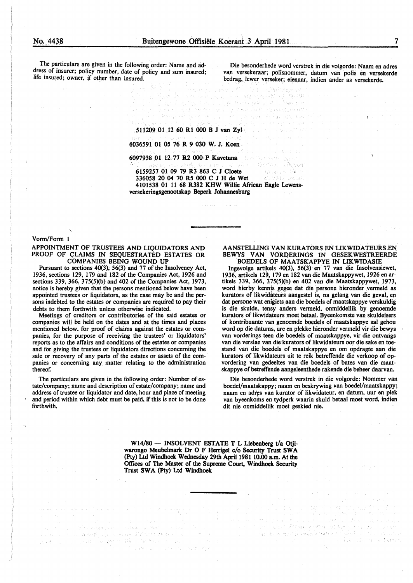큰 나이 좀 봐. 저기

The particulars are given in the following order: Name and address of insurer; policy number, date of policy and sum insured; life insured; owner, if other than insured.

Die besonderhede word verstrek in die volgorde: Naam en adres van versekeraar; polisnommer, datum van polis en versekerde bedrag, !ewer verseker; eienaar, indien ander as versekerde.

#### 511209 01 12 60 Rl 000 B J van Zyl

6036591 01 *05* 76 R 9 030 W. J. Koen

6097938 01 12 77 R2 000 P Kavetuna

6159257 01 09 79 R3 863 C J Cloete organización 336058 20 04 70 RS 000 C J H de Wet 4101538 01 11 68 R382 KHW Willie African Eagle Lewensversekeringsgenootskap Beperk Johannesburg

#### Vorm/Form 1

APPOINTMENT OF TRUSTEES AND LIQUIDATORS AND PROOF OF CLAIMS IN SEQUESTRATED ESTATES OR COMPANIES BEING WOUND UP

Pursuant to sections 40(3); 56(3) and 77 of the Insolvency Act, 1936, sections 129, 179 and 182 of the Companies Act, 1926 and sections 339, 366, 375(5)(b) and 402 of the Companies Act, 1973, notice is hereby given that the persons mentioned below have been appointed trustees or liquidators, as the case may be and the persons indebted to the estates or companies are required to pay their debts to them forthwith unless otherwise indicated.

Meetings of creditors or contributories of the said estates or companies will be held on the dates and at the times and places mentioned below, for proof of claims against the estates or companies, for the purpose of receiving the trustees' or liquidators' reports as to the affairs and conditions of the estates or companies and for giving the trustees or liquidators directions concerning the sale or recovery of any parts of the estates or assets of the companies or concerning any matter relating to the administration thereof.

The particulars are given in the following order: Number of estate/company; name and description of estate/company; name and address of trustee or liquidator and date, hour and place of meeting and period within which debt must be paid, if this is not to be done forthwith.

The Apple Spins County of the Card Day

gain a boist of your selection of you're interesting senior in the world with Secretary ConAANSTELLING VAN KURATORS EN LIKWIDA TEURS EN BEWYS VAN VORDERINGS IN GESEKWESTREERDE BOEDELS OF MAATSKAPPYE IN LIKWIDASIE

lngevolge artikels 40(3), 56(3) en 77 van die Insolvensiewet, 1936, artikels 129, 179 en 182 van die Maatskappywet, 1926 en artikels 339, 366, 375(5)(b) en 402 van die Maatskappywet, 1973, word hierby kennis gegee dat die persone hieronder vermeld as kurators of likwidateurs aangestel is, na gelang van die geval, en dat persone wat enigiets aan die boedels of maatskappye verskuldig is die skulde, tensy anders vermeld, onmiddellik by genoemde kurators of likwidateurs moet betaal. Byeenkomste van skuldeisers of kontribuante van genoemde boedels of maatskappye sal gehou word op die datums, ure en plekke hieronder vermeld vir die bewys van vorderings teen die boedels of maatskappye, vir die ontvangs van die verslae van die kurators of likwidateurs oor die sake en toestand van die boedels of maatskappye en om opdragte aan die kurators of Iikwidateurs uit te reik betreffende die verkoop of opvordering van gedeeltes van die boedels of bates van die maatskappye of betreffende aangeleenthede rakende die beheer daarvan.

Die besonderhede word verstrek in die volgorde: Nommer van boedel/maatskappy; naam en beskrywing van boedel/maatskappy; naam en adres van kurator of likwidateur, en datum, uur en plek van byeenkoms en tydperk waarin skuld betaal moet word, indien dit nie onmiddellik moet geskied nie.

All Self-Security and Heart project for

all in home all might given the state of a species

ข้อมีการอักษร จัดตรง

W14/80 - INSOLVENT ESTATE T L Liebenberg t/a Otiiwarongo Meubelmark Dr 0 F Herrigel c/o Security Trust SW A (Pty) Ltd Windhoek Wednesday 29th April 1981 10.00 a.m. At the Offices of The Master of the Supreme Court, Windhoek Security Trust SWA (Pty) Ltd Windhoek

الأمريكي والأراف الروافيل